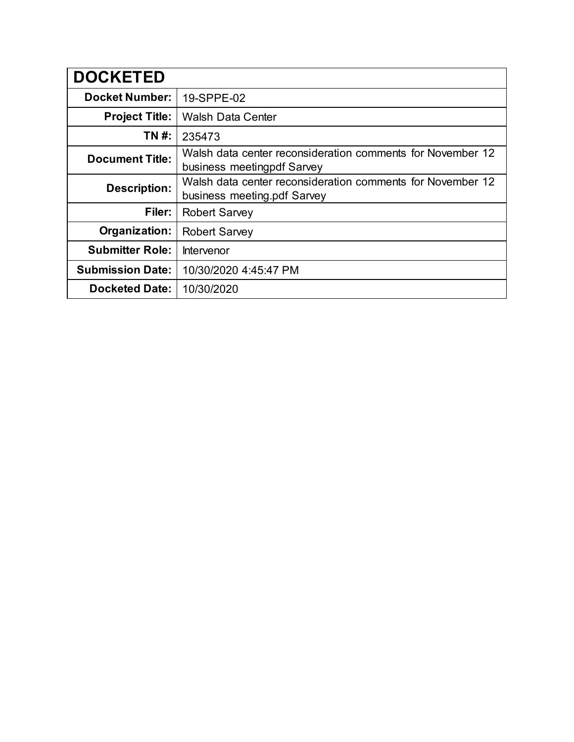| <b>DOCKETED</b>         |                                                                                           |
|-------------------------|-------------------------------------------------------------------------------------------|
| <b>Docket Number:</b>   | 19-SPPE-02                                                                                |
| <b>Project Title:</b>   | <b>Walsh Data Center</b>                                                                  |
| TN #:                   | 235473                                                                                    |
| <b>Document Title:</b>  | Walsh data center reconsideration comments for November 12<br>business meetingpdf Sarvey  |
| <b>Description:</b>     | Walsh data center reconsideration comments for November 12<br>business meeting pdf Sarvey |
| Filer:                  | <b>Robert Sarvey</b>                                                                      |
| Organization:           | <b>Robert Sarvey</b>                                                                      |
| <b>Submitter Role:</b>  | Intervenor                                                                                |
| <b>Submission Date:</b> | 10/30/2020 4:45:47 PM                                                                     |
| <b>Docketed Date:</b>   | 10/30/2020                                                                                |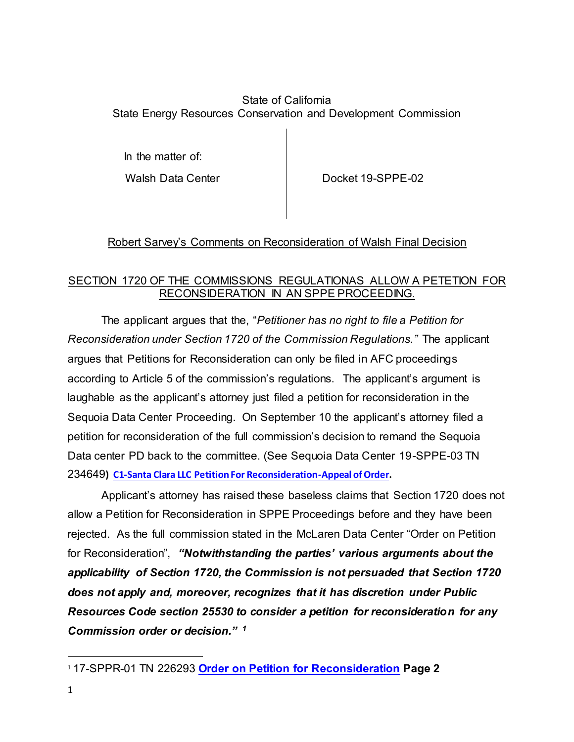#### State of California State Energy Resources Conservation and Development Commission

In the matter of:

Walsh Data Center **Docket 19-SPPE-02** 

## Robert Sarvey's Comments on Reconsideration of Walsh Final Decision

### SECTION 1720 OF THE COMMISSIONS REGULATIONAS ALLOW A PETETION FOR RECONSIDERATION IN AN SPPE PROCEEDING.

The applicant argues that the, "*Petitioner has no right to file a Petition for Reconsideration under Section 1720 of the Commission Regulations."* The applicant argues that Petitions for Reconsideration can only be filed in AFC proceedings according to Article 5 of the commission's regulations. The applicant's argument is laughable as the applicant's attorney just filed a petition for reconsideration in the Sequoia Data Center Proceeding. On September 10 the applicant's attorney filed a petition for reconsideration of the full commission's decision to remand the Sequoia Data center PD back to the committee. (See Sequoia Data Center 19-SPPE-03 TN 234649**) [C1-Santa Clara LLC Petition For Reconsideration-Appeal of Order.](https://efiling.energy.ca.gov/GetDocument.aspx?tn=234649&DocumentContentId=67498)**

Applicant's attorney has raised these baseless claims that Section 1720 does not allow a Petition for Reconsideration in SPPE Proceedings before and they have been rejected. As the full commission stated in the McLaren Data Center "Order on Petition for Reconsideration", *"Notwithstanding the parties' various arguments about the applicability of Section 1720, the Commission is not persuaded that Section 1720 does not apply and, moreover, recognizes that it has discretion under Public Resources Code section 25530 to consider a petition for reconsideration for any Commission order or decision." <sup>1</sup>*

 $\ddot{\phantom{a}}$ <sup>1</sup> 17-SPPR-01 TN 226293 **[Order on Petition for Reconsideration](https://efiling.energy.ca.gov/GetDocument.aspx?tn=226293&DocumentContentId=57057) Page 2**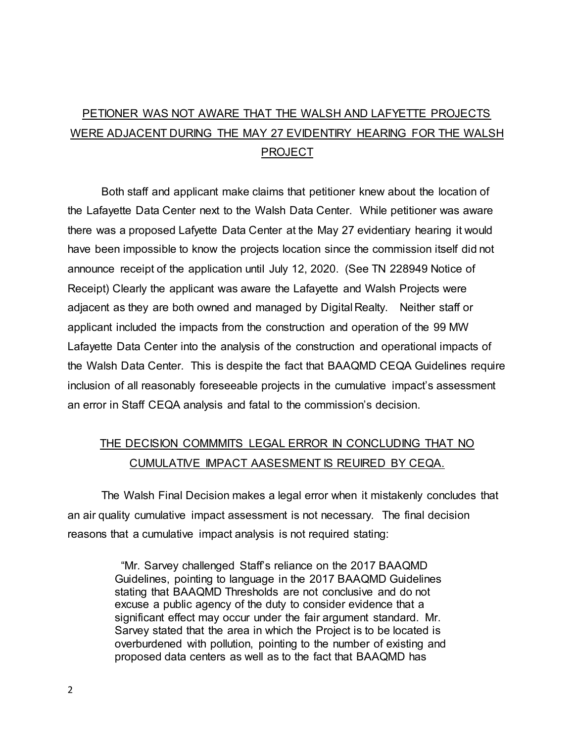# PETIONER WAS NOT AWARE THAT THE WALSH AND LAFYETTE PROJECTS WERE ADJACENT DURING THE MAY 27 EVIDENTIRY HEARING FOR THE WALSH PROJECT

Both staff and applicant make claims that petitioner knew about the location of the Lafayette Data Center next to the Walsh Data Center. While petitioner was aware there was a proposed Lafyette Data Center at the May 27 evidentiary hearing it would have been impossible to know the projects location since the commission itself did not announce receipt of the application until July 12, 2020. (See TN 228949 Notice of Receipt) Clearly the applicant was aware the Lafayette and Walsh Projects were adjacent as they are both owned and managed by Digital Realty. Neither staff or applicant included the impacts from the construction and operation of the 99 MW Lafayette Data Center into the analysis of the construction and operational impacts of the Walsh Data Center. This is despite the fact that BAAQMD CEQA Guidelines require inclusion of all reasonably foreseeable projects in the cumulative impact's assessment an error in Staff CEQA analysis and fatal to the commission's decision.

## THE DECISION COMMMITS LEGAL ERROR IN CONCLUDING THAT NO CUMULATIVE IMPACT AASESMENT IS REUIRED BY CEQA.

The Walsh Final Decision makes a legal error when it mistakenly concludes that an air quality cumulative impact assessment is not necessary. The final decision reasons that a cumulative impact analysis is not required stating:

> "Mr. Sarvey challenged Staff's reliance on the 2017 BAAQMD Guidelines, pointing to language in the 2017 BAAQMD Guidelines stating that BAAQMD Thresholds are not conclusive and do not excuse a public agency of the duty to consider evidence that a significant effect may occur under the fair argument standard. Mr. Sarvey stated that the area in which the Project is to be located is overburdened with pollution, pointing to the number of existing and proposed data centers as well as to the fact that BAAQMD has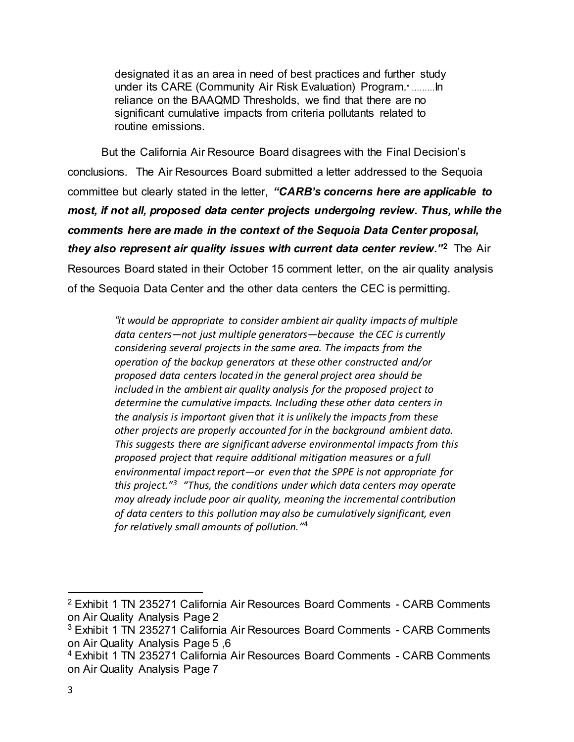designated it as an area in need of best practices and further study under its CARE (Community Air Risk Evaluation) Program." ………In reliance on the BAAQMD Thresholds, we find that there are no significant cumulative impacts from criteria pollutants related to routine emissions.

But the California Air Resource Board disagrees with the Final Decision's conclusions. The Air Resources Board submitted a letter addressed to the Sequoia committee but clearly stated in the letter, *"CARB's concerns here are applicable to most, if not all, proposed data center projects undergoing review. Thus, while the comments here are made in the context of the Sequoia Data Center proposal, they also represent air quality issues with current data center review."***<sup>2</sup>** The Air Resources Board stated in their October 15 comment letter, on the air quality analysis of the Sequoia Data Center and the other data centers the CEC is permitting.

> *"it would be appropriate to consider ambient air quality impacts of multiple data centers—not just multiple generators—because the CEC is currently considering several projects in the same area. The impacts from the operation of the backup generators at these other constructed and/or proposed data centers located in the general project area should be included in the ambient air quality analysis for the proposed project to determine the cumulative impacts. Including these other data centers in the analysis is important given that it is unlikely the impacts from these other projects are properly accounted for in the background ambient data. This suggests there are significant adverse environmental impacts from this proposed project that require additional mitigation measures or a full environmental impact report—or even that the SPPE is not appropriate for this project."<sup>3</sup> "Thus, the conditions under which data centers may operate may already include poor air quality, meaning the incremental contribution of data centers to this pollution may also be cumulatively significant, even for relatively small amounts of pollution."* 4

<sup>2</sup> Exhibit 1 TN 235271 California Air Resources Board Comments - CARB Comments on Air Quality Analysis Page 2

<sup>3</sup> Exhibit 1 TN 235271 California Air Resources Board Comments - CARB Comments on Air Quality Analysis Page 5 ,6

<sup>4</sup> Exhibit 1 TN 235271 California Air Resources Board Comments - CARB Comments on Air Quality Analysis Page 7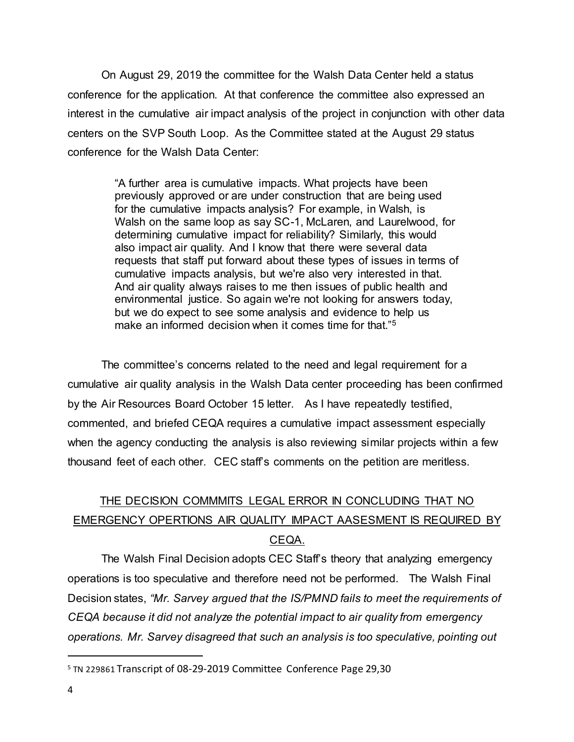On August 29, 2019 the committee for the Walsh Data Center held a status conference for the application. At that conference the committee also expressed an interest in the cumulative air impact analysis of the project in conjunction with other data centers on the SVP South Loop. As the Committee stated at the August 29 status conference for the Walsh Data Center:

> "A further area is cumulative impacts. What projects have been previously approved or are under construction that are being used for the cumulative impacts analysis? For example, in Walsh, is Walsh on the same loop as say SC-1, McLaren, and Laurelwood, for determining cumulative impact for reliability? Similarly, this would also impact air quality. And I know that there were several data requests that staff put forward about these types of issues in terms of cumulative impacts analysis, but we're also very interested in that. And air quality always raises to me then issues of public health and environmental justice. So again we're not looking for answers today, but we do expect to see some analysis and evidence to help us make an informed decision when it comes time for that."<sup>5</sup>

The committee's concerns related to the need and legal requirement for a cumulative air quality analysis in the Walsh Data center proceeding has been confirmed by the Air Resources Board October 15 letter. As I have repeatedly testified, commented, and briefed CEQA requires a cumulative impact assessment especially when the agency conducting the analysis is also reviewing similar projects within a few thousand feet of each other. CEC staff's comments on the petition are meritless.

## THE DECISION COMMMITS LEGAL ERROR IN CONCLUDING THAT NO EMERGENCY OPERTIONS AIR QUALITY IMPACT AASESMENT IS REQUIRED BY CEQA.

The Walsh Final Decision adopts CEC Staff's theory that analyzing emergency operations is too speculative and therefore need not be performed. The Walsh Final Decision states, *"Mr. Sarvey argued that the IS/PMND fails to meet the requirements of CEQA because it did not analyze the potential impact to air quality from emergency operations. Mr. Sarvey disagreed that such an analysis is too speculative, pointing out* 

<sup>5</sup> TN 229861 Transcript of 08-29-2019 Committee Conference Page 29,30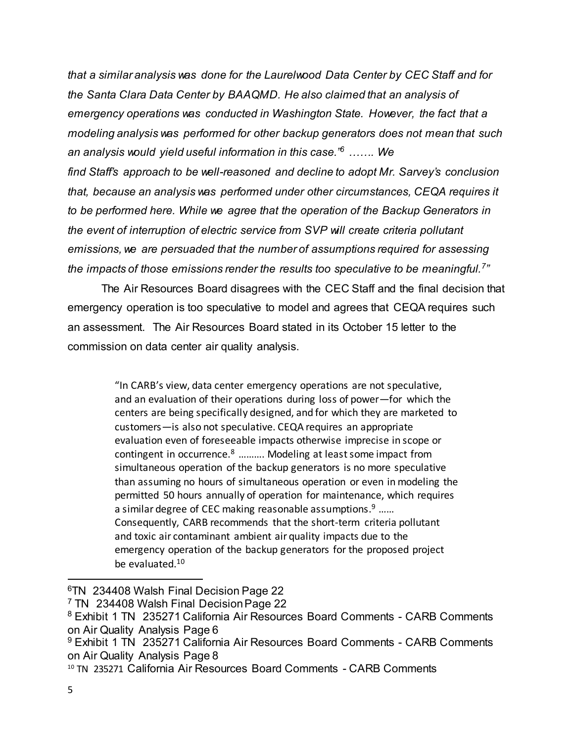*that a similar analysis was done for the Laurelwood Data Center by CEC Staff and for the Santa Clara Data Center by BAAQMD. He also claimed that an analysis of emergency operations was conducted in Washington State. However, the fact that a modeling analysis was performed for other backup generators does not mean that such an analysis would yield useful information in this case."<sup>6</sup> ……. We find Staff's approach to be well-reasoned and decline to adopt Mr. Sarvey's conclusion that, because an analysis was performed under other circumstances, CEQA requires it to be performed here. While we agree that the operation of the Backup Generators in the event of interruption of electric service from SVP will create criteria pollutant emissions, we are persuaded that the number of assumptions required for assessing the impacts of those emissions render the results too speculative to be meaningful.<sup>7</sup> "*

The Air Resources Board disagrees with the CEC Staff and the final decision that emergency operation is too speculative to model and agrees that CEQA requires such an assessment. The Air Resources Board stated in its October 15 letter to the commission on data center air quality analysis.

> "In CARB's view, data center emergency operations are not speculative, and an evaluation of their operations during loss of power—for which the centers are being specifically designed, and for which they are marketed to customers—is also not speculative. CEQA requires an appropriate evaluation even of foreseeable impacts otherwise imprecise in scope or contingent in occurrence.<sup>8</sup> ………. Modeling at least some impact from simultaneous operation of the backup generators is no more speculative than assuming no hours of simultaneous operation or even in modeling the permitted 50 hours annually of operation for maintenance, which requires a similar degree of CEC making reasonable assumptions.<sup>9</sup> ...... Consequently, CARB recommends that the short-term criteria pollutant and toxic air contaminant ambient air quality impacts due to the emergency operation of the backup generators for the proposed project be evaluated.<sup>10</sup>

<sup>6</sup>TN 234408 Walsh Final Decision Page 22

<sup>7</sup> TN 234408 Walsh Final Decision Page 22

<sup>&</sup>lt;sup>8</sup> Exhibit 1 TN 235271 California Air Resources Board Comments - CARB Comments on Air Quality Analysis Page 6

<sup>&</sup>lt;sup>9</sup> Exhibit 1 TN 235271 California Air Resources Board Comments - CARB Comments on Air Quality Analysis Page 8

<sup>10</sup> TN 235271 California Air Resources Board Comments - CARB Comments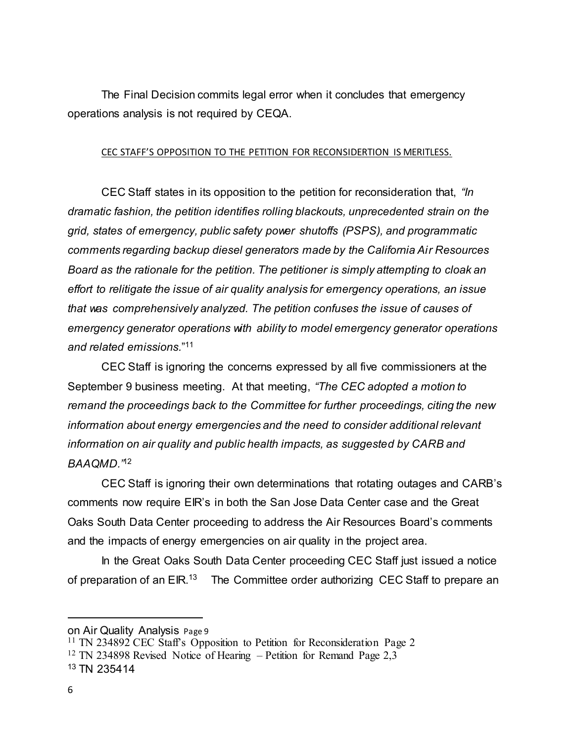The Final Decision commits legal error when it concludes that emergency operations analysis is not required by CEQA.

#### CEC STAFF'S OPPOSITION TO THE PETITION FOR RECONSIDERTION IS MERITLESS.

CEC Staff states in its opposition to the petition for reconsideration that, *"In dramatic fashion, the petition identifies rolling blackouts, unprecedented strain on the grid, states of emergency, public safety power shutoffs (PSPS), and programmatic comments regarding backup diesel generators made by the California Air Resources Board as the rationale for the petition. The petitioner is simply attempting to cloak an effort to relitigate the issue of air quality analysis for emergency operations, an issue that was comprehensively analyzed. The petition confuses the issue of causes of emergency generator operations with ability to model emergency generator operations and related emissions.*" 11

CEC Staff is ignoring the concerns expressed by all five commissioners at the September 9 business meeting. At that meeting, *"The CEC adopted a motion to remand the proceedings back to the Committee for further proceedings, citing the new information about energy emergencies and the need to consider additional relevant information on air quality and public health impacts, as suggested by CARB and BAAQMD."*<sup>12</sup>

CEC Staff is ignoring their own determinations that rotating outages and CARB's comments now require EIR's in both the San Jose Data Center case and the Great Oaks South Data Center proceeding to address the Air Resources Board's comments and the impacts of energy emergencies on air quality in the project area.

In the Great Oaks South Data Center proceeding CEC Staff just issued a notice of preparation of an EIR.<sup>13</sup> The Committee order authorizing CEC Staff to prepare an

on Air Quality Analysis Page 9

<sup>11</sup> TN 234892 CEC Staff's Opposition to Petition for Reconsideration Page 2 <sup>12</sup> TN 234898 Revised Notice of Hearing – Petition for Remand Page 2,3 <sup>13</sup> TN 235414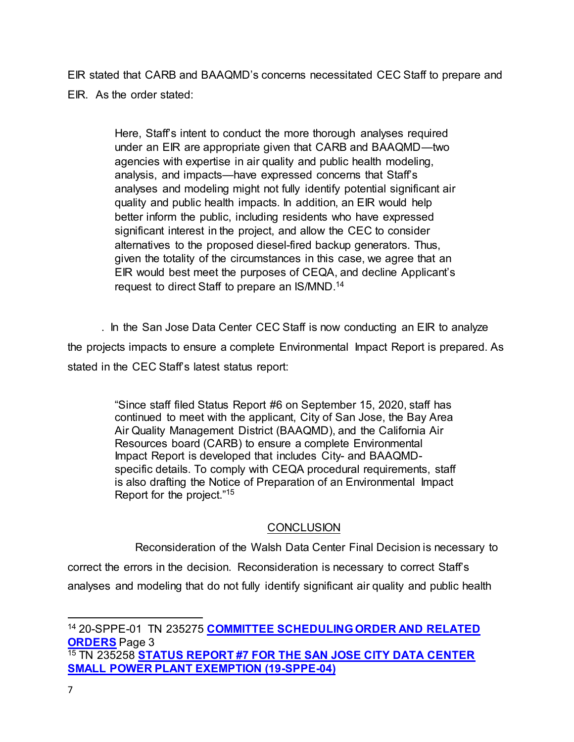EIR stated that CARB and BAAQMD's concerns necessitated CEC Staff to prepare and EIR. As the order stated:

> Here, Staff's intent to conduct the more thorough analyses required under an EIR are appropriate given that CARB and BAAQMD—two agencies with expertise in air quality and public health modeling, analysis, and impacts—have expressed concerns that Staff's analyses and modeling might not fully identify potential significant air quality and public health impacts. In addition, an EIR would help better inform the public, including residents who have expressed significant interest in the project, and allow the CEC to consider alternatives to the proposed diesel-fired backup generators. Thus, given the totality of the circumstances in this case, we agree that an EIR would best meet the purposes of CEQA, and decline Applicant's request to direct Staff to prepare an IS/MND.<sup>14</sup>

. In the San Jose Data Center CEC Staff is now conducting an EIR to analyze the projects impacts to ensure a complete Environmental Impact Report is prepared. As stated in the CEC Staff's latest status report:

> "Since staff filed Status Report #6 on September 15, 2020, staff has continued to meet with the applicant, City of San Jose, the Bay Area Air Quality Management District (BAAQMD), and the California Air Resources board (CARB) to ensure a complete Environmental Impact Report is developed that includes City- and BAAQMDspecific details. To comply with CEQA procedural requirements, staff is also drafting the Notice of Preparation of an Environmental Impact Report for the project." 15

### **CONCLUSION**

Reconsideration of the Walsh Data Center Final Decision is necessary to correct the errors in the decision. Reconsideration is necessary to correct Staff's analyses and modeling that do not fully identify significant air quality and public health